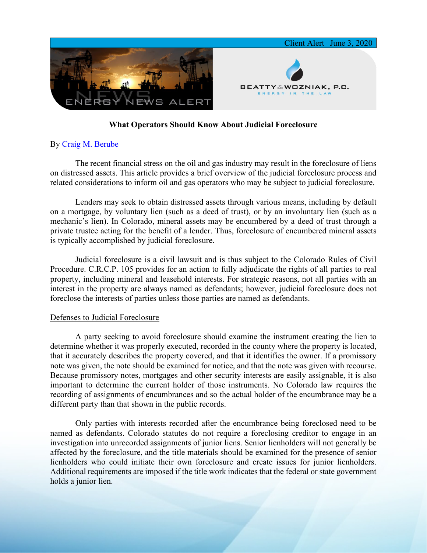

## **What Operators Should Know About Judicial Foreclosure**

## By Craig M. [Berube](https://www.bwenergylaw.com/craig-berube)

The recent financial stress on the oil and gas industry may result in the foreclosure of liens on distressed assets. This article provides a brief overview of the judicial foreclosure process and related considerations to inform oil and gas operators who may be subject to judicial foreclosure.

Lenders may seek to obtain distressed assets through various means, including by default on a mortgage, by voluntary lien (such as a deed of trust), or by an involuntary lien (such as a mechanic's lien). In Colorado, mineral assets may be encumbered by a deed of trust through a private trustee acting for the benefit of a lender. Thus, foreclosure of encumbered mineral assets is typically accomplished by judicial foreclosure.

Judicial foreclosure is a civil lawsuit and is thus subject to the Colorado Rules of Civil Procedure. C.R.C.P. 105 provides for an action to fully adjudicate the rights of all parties to real property, including mineral and leasehold interests. For strategic reasons, not all parties with an interest in the property are always named as defendants; however, judicial foreclosure does not foreclose the interests of parties unless those parties are named as defendants.

## Defenses to Judicial Foreclosure

A party seeking to avoid foreclosure should examine the instrument creating the lien to determine whether it was properly executed, recorded in the county where the property is located, that it accurately describes the property covered, and that it identifies the owner. If a promissory note was given, the note should be examined for notice, and that the note was given with recourse. Because promissory notes, mortgages and other security interests are easily assignable, it is also important to determine the current holder of those instruments. No Colorado law requires the recording of assignments of encumbrances and so the actual holder of the encumbrance may be a different party than that shown in the public records.

Only parties with interests recorded after the encumbrance being foreclosed need to be named as defendants. Colorado statutes do not require a foreclosing creditor to engage in an investigation into unrecorded assignments of junior liens. Senior lienholders will not generally be affected by the foreclosure, and the title materials should be examined for the presence of senior lienholders who could initiate their own foreclosure and create issues for junior lienholders. Additional requirements are imposed if the title work indicates that the federal or state government holds a junior lien.